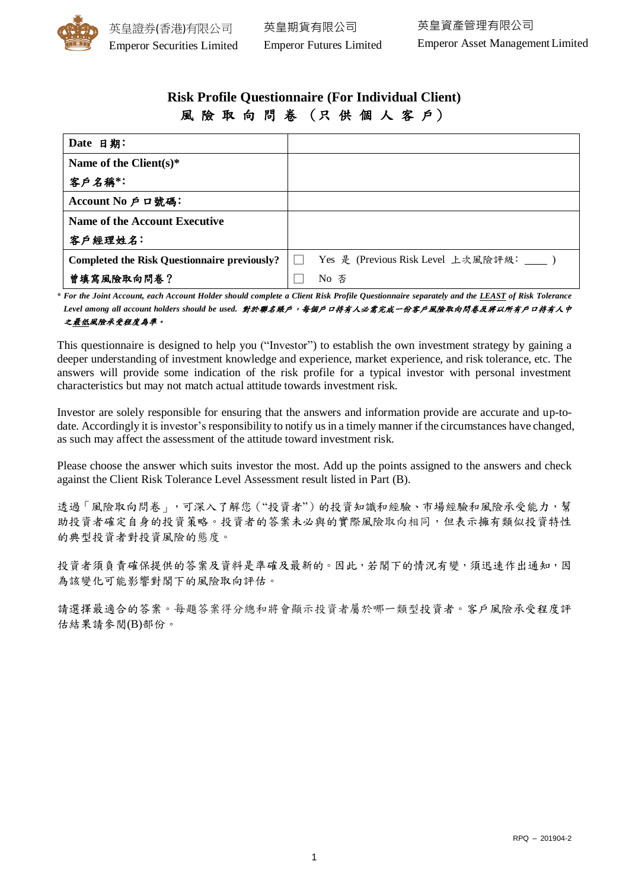

# **Risk Profile Questionnaire (For Individual Client)** 風 險 取 向 問 卷 (只 供 個 人 客 戶)

| Date 日期:                                            |                                           |
|-----------------------------------------------------|-------------------------------------------|
| Name of the Client $(s)^*$                          |                                           |
| 客户名稱*:                                              |                                           |
| Account No 戶口號碼:                                    |                                           |
| Name of the Account Executive                       |                                           |
| 客户經理姓名:                                             |                                           |
| <b>Completed the Risk Questionnaire previously?</b> | Yes 是 (Previous Risk Level 上次風險評級: ____ ) |
| 曾填寫風險取向問卷?                                          | No 否                                      |

**\*** *For the Joint Account, each Account Holder should complete a Client Risk Profile Questionnaire separately and the LEAST of Risk Tolerance Level among all account holders should be used.* 對於聯名賬戶,每個戶口持有人必需完成一份客戶風險取向問卷及將以所有戶口持有人中 之最低風險承受程度為準。

This questionnaire is designed to help you ("Investor") to establish the own investment strategy by gaining a deeper understanding of investment knowledge and experience, market experience, and risk tolerance, etc. The answers will provide some indication of the risk profile for a typical investor with personal investment characteristics but may not match actual attitude towards investment risk.

Investor are solely responsible for ensuring that the answers and information provide are accurate and up-todate. Accordingly it is investor's responsibility to notify us in a timely manner if the circumstances have changed, as such may affect the assessment of the attitude toward investment risk.

Please choose the answer which suits investor the most. Add up the points assigned to the answers and check against the Client Risk Tolerance Level Assessment result listed in Part (B).

透過「風險取向問卷」,可深入了解您("投資者")的投資知識和經驗、市場經驗和風險承受能力,幫 助投資者確定自身的投資策略。投資者的答案未必與的實際風險取向相同,但表示擁有類似投資特性 的典型投資者對投資風險的態度。

投資者須負責確保提供的答案及資料是準確及最新的。因此,若閣下的情況有變,須迅速作出通知,因 為該變化可能影響對閣下的風險取向評估。

請選擇最適合的答案。每題答案得分總和將會顯示投資者屬於哪一類型投資者。客戶風險承受程度評 估結果請參閱(B)部份。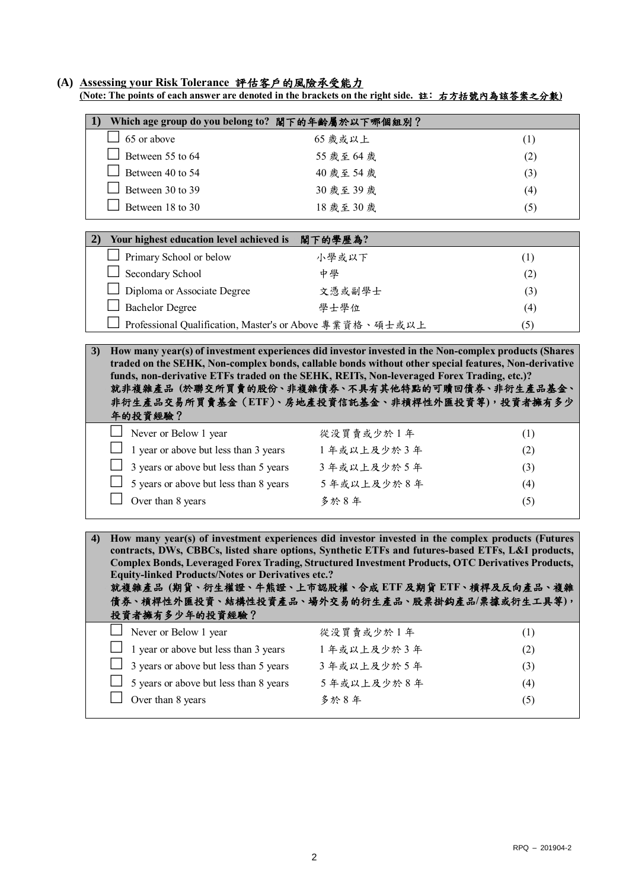#### **(A) Assessing your Risk Tolerance** 評估客戶的風險承受能力

**(Note: The points of each answer are denoted in the brackets on the right side.** 註﹕右方括號內為該答案之分數**)**

| 1)<br>Which age group do you belong to? 閣下的年齡屬於以下哪個組別?                                                                                                                                                                                                                                                                                                                                                                                                                                                  |            |     |  |
|---------------------------------------------------------------------------------------------------------------------------------------------------------------------------------------------------------------------------------------------------------------------------------------------------------------------------------------------------------------------------------------------------------------------------------------------------------------------------------------------------------|------------|-----|--|
| 65 or above                                                                                                                                                                                                                                                                                                                                                                                                                                                                                             | 65 歲或以上    | (1) |  |
| Between 55 to 64                                                                                                                                                                                                                                                                                                                                                                                                                                                                                        | 55 歲至 64 歲 | (2) |  |
| Between 40 to 54                                                                                                                                                                                                                                                                                                                                                                                                                                                                                        | 40 歲至 54 歲 | (3) |  |
| Between 30 to 39                                                                                                                                                                                                                                                                                                                                                                                                                                                                                        | 30 歲至 39 歲 | (4) |  |
| Between 18 to 30                                                                                                                                                                                                                                                                                                                                                                                                                                                                                        | 18 歲至 30 歲 | (5) |  |
|                                                                                                                                                                                                                                                                                                                                                                                                                                                                                                         |            |     |  |
| 2)<br>Your highest education level achieved is                                                                                                                                                                                                                                                                                                                                                                                                                                                          | 閣下的學歷為?    |     |  |
| Primary School or below                                                                                                                                                                                                                                                                                                                                                                                                                                                                                 | 小學或以下      | (1) |  |
| Secondary School                                                                                                                                                                                                                                                                                                                                                                                                                                                                                        | 中學         | (2) |  |
| Diploma or Associate Degree                                                                                                                                                                                                                                                                                                                                                                                                                                                                             | 文憑或副學士     | (3) |  |
| <b>Bachelor Degree</b>                                                                                                                                                                                                                                                                                                                                                                                                                                                                                  | 學士學位       | (4) |  |
| Professional Qualification, Master's or Above 專業資格、碩士或以上                                                                                                                                                                                                                                                                                                                                                                                                                                                |            | (5) |  |
| How many year(s) of investment experiences did investor invested in the Non-complex products (Shares<br>3)                                                                                                                                                                                                                                                                                                                                                                                              |            |     |  |
| funds, non-derivative ETFs traded on the SEHK, REITs, Non-leveraged Forex Trading, etc.)?<br>就非複雜產品 (於聯交所買賣的股份、非複雜債券、不具有其他特點的可贖回債券、非衍生產品基金、<br>非衍生產品交易所買賣基金(ETF)、房地產投資信託基金、非槓桿性外匯投資等),投資者擁有多少<br>年的投資經驗?<br>Never or Below 1 year                                                                                                                                                                                                                                                                       | 從没買賣或少於1年  | (1) |  |
| 1 year or above but less than 3 years                                                                                                                                                                                                                                                                                                                                                                                                                                                                   | 1年或以上及少於3年 | (2) |  |
| 3 years or above but less than 5 years                                                                                                                                                                                                                                                                                                                                                                                                                                                                  | 3年或以上及少於5年 | (3) |  |
| 5 years or above but less than 8 years                                                                                                                                                                                                                                                                                                                                                                                                                                                                  | 5年或以上及少於8年 | (4) |  |
| Over than 8 years                                                                                                                                                                                                                                                                                                                                                                                                                                                                                       | 多於8年       | (5) |  |
|                                                                                                                                                                                                                                                                                                                                                                                                                                                                                                         |            |     |  |
| How many year(s) of investment experiences did investor invested in the complex products (Futures<br>4)<br>contracts, DWs, CBBCs, listed share options, Synthetic ETFs and futures-based ETFs, L&I products,<br>Complex Bonds, Leveraged Forex Trading, Structured Investment Products, OTC Derivatives Products,<br><b>Equity-linked Products/Notes or Derivatives etc.?</b><br>就複雜產品 (期貨、衍生權證、牛熊證、上市認股權、合成 ETF 及期貨 ETF、槓桿及反向產品、複雜<br>債券、槓桿性外匯投資、結構性投資產品、場外交易的衍生產品、股票掛鈎產品/票據或衍生工具等),<br>投資者擁有多少年的投資經驗? |            |     |  |
| Never or Below 1 year                                                                                                                                                                                                                                                                                                                                                                                                                                                                                   | 從没買賣或少於1年  | (1) |  |
| 1 year or above but less than 3 years                                                                                                                                                                                                                                                                                                                                                                                                                                                                   | 1年或以上及少於3年 | (2) |  |
| 3 years or above but less than 5 years                                                                                                                                                                                                                                                                                                                                                                                                                                                                  | 3年或以上及少於5年 | (3) |  |
| 5 years or above but less than 8 years                                                                                                                                                                                                                                                                                                                                                                                                                                                                  | 5年或以上及少於8年 | (4) |  |
| Over than 8 years                                                                                                                                                                                                                                                                                                                                                                                                                                                                                       | 多於8年       | (5) |  |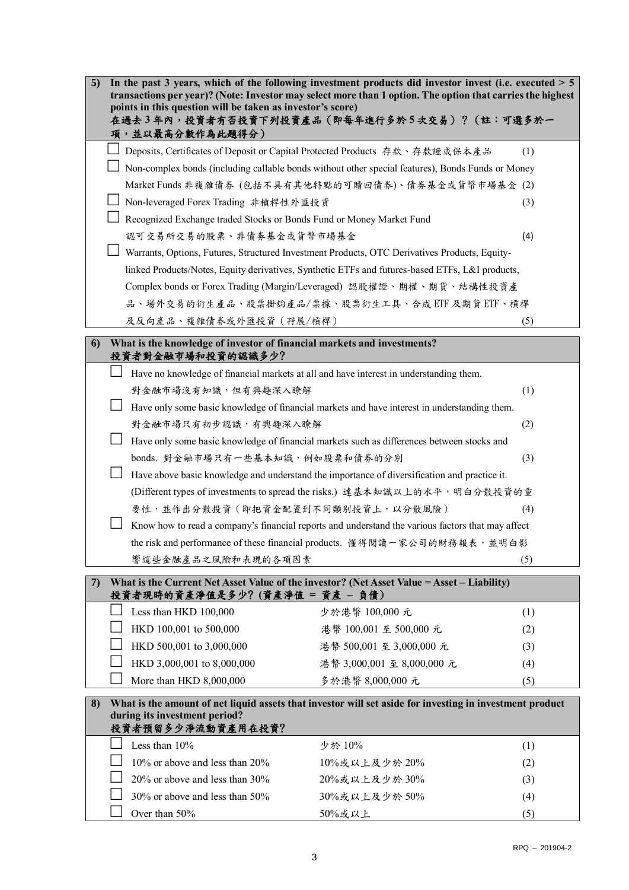| 5)<br>In the past 3 years, which of the following investment products did investor invest (i.e. executed $> 5$                                                           |                                                                                                   |     |  |  |
|--------------------------------------------------------------------------------------------------------------------------------------------------------------------------|---------------------------------------------------------------------------------------------------|-----|--|--|
| transactions per year)? (Note: Investor may select more than 1 option. The option that carries the highest<br>points in this question will be taken as investor's score) |                                                                                                   |     |  |  |
| 在過去3年內,投資者有否投資下列投資產品(即每年進行多於5次交易)?(註:可選多於一<br>項,並以最高分數作為此題得分)                                                                                                            |                                                                                                   |     |  |  |
|                                                                                                                                                                          | Deposits, Certificates of Deposit or Capital Protected Products 存款、存款證或保本產品                       | (1) |  |  |
|                                                                                                                                                                          | Non-complex bonds (including callable bonds without other special features), Bonds Funds or Money |     |  |  |
|                                                                                                                                                                          | Market Funds 非複雜債券 (包括不具有其他特點的可贖回債券)、債券基金或貨幣市場基金 (2)                                              |     |  |  |
|                                                                                                                                                                          | Non-leveraged Forex Trading 非槓桿性外匯投資<br>(3)                                                       |     |  |  |
| Recognized Exchange traded Stocks or Bonds Fund or Money Market Fund                                                                                                     |                                                                                                   |     |  |  |
|                                                                                                                                                                          | 認可交易所交易的股票、非債券基金或貨幣市場基金<br>(4)                                                                    |     |  |  |
|                                                                                                                                                                          | Warrants, Options, Futures, Structured Investment Products, OTC Derivatives Products, Equity-     |     |  |  |
|                                                                                                                                                                          | linked Products/Notes, Equity derivatives, Synthetic ETFs and futures-based ETFs, L&I products,   |     |  |  |
|                                                                                                                                                                          | Complex bonds or Forex Trading (Margin/Leveraged) 認股權證、期權、期貨、結構性投資產                               |     |  |  |
|                                                                                                                                                                          | 品、場外交易的衍生產品、股票掛鈎產品/票據、股票衍生工具、合成ETF及期貨ETF、槓桿                                                       |     |  |  |
| 及反向產品、複雜債券或外匯投資(孖展/槓桿)                                                                                                                                                   |                                                                                                   | (5) |  |  |
| What is the knowledge of investor of financial markets and investments?<br>6)                                                                                            |                                                                                                   |     |  |  |
| 投資者對金融市場和投資的認識多少?                                                                                                                                                        |                                                                                                   |     |  |  |
|                                                                                                                                                                          | Have no knowledge of financial markets at all and have interest in understanding them.            |     |  |  |
| 對金融市場沒有知識,但有興趣深入瞭解<br>(1)                                                                                                                                                |                                                                                                   |     |  |  |
| Have only some basic knowledge of financial markets and have interest in understanding them.                                                                             |                                                                                                   |     |  |  |
| 對金融市場只有初步認識,有興趣深入瞭解<br>(2)                                                                                                                                               |                                                                                                   |     |  |  |
| Have only some basic knowledge of financial markets such as differences between stocks and                                                                               |                                                                                                   |     |  |  |
| bonds. 對金融市場只有一些基本知識, 例如股票和債券的分別<br>(3)                                                                                                                                  |                                                                                                   |     |  |  |
| Have above basic knowledge and understand the importance of diversification and practice it.                                                                             |                                                                                                   |     |  |  |
| (Different types of investments to spread the risks.) 達基本知識以上的水平, 明白分散投資的重                                                                                               |                                                                                                   |     |  |  |
|                                                                                                                                                                          | 要性,並作出分散投資 (即把資金配置到不同類別投資上,以分散風險)<br>(4)                                                          |     |  |  |
|                                                                                                                                                                          | Know how to read a company's financial reports and understand the various factors that may affect |     |  |  |
| the risk and performance of these financial products. 懂得閱讀一家公司的財務報表, 並明白影                                                                                                |                                                                                                   |     |  |  |
| 響這些金融產品之風險和表現的各項因素                                                                                                                                                       |                                                                                                   | (5) |  |  |
| What is the Current Net Asset Value of the investor? (Net Asset Value = Asset – Liability)<br>7)                                                                         |                                                                                                   |     |  |  |
| 投資者現時的資產淨值是多少?(資產淨值 = 資產 - 負債)                                                                                                                                           |                                                                                                   |     |  |  |
| Less than HKD 100,000                                                                                                                                                    | 少於港幣 100,000 元                                                                                    | (1) |  |  |
| HKD 100,001 to 500,000                                                                                                                                                   | 港幣 100,001 至 500,000 元                                                                            | (2) |  |  |
| HKD 500,001 to 3,000,000                                                                                                                                                 | 港幣 500,001 至 3,000,000 元                                                                          | (3) |  |  |
| HKD 3,000,001 to 8,000,000                                                                                                                                               | 港幣 3,000,001 至 8,000,000 元                                                                        | (4) |  |  |
| More than HKD 8,000,000                                                                                                                                                  | 多於港幣 8,000,000 元                                                                                  | (5) |  |  |
| What is the amount of net liquid assets that investor will set aside for investing in investment product<br>8)                                                           |                                                                                                   |     |  |  |
| during its investment period?<br>投資者預留多少淨流動資產用在投資?                                                                                                                       |                                                                                                   |     |  |  |
| Less than 10%                                                                                                                                                            | 少於 10%                                                                                            | (1) |  |  |
| 10% or above and less than 20%                                                                                                                                           | 10%或以上及少於20%                                                                                      | (2) |  |  |
| 20% or above and less than 30%                                                                                                                                           | 20%或以上及少於30%                                                                                      | (3) |  |  |
| 30% or above and less than 50%                                                                                                                                           | 30%或以上及少於50%                                                                                      | (4) |  |  |
| Over than 50%                                                                                                                                                            | 50%或以上                                                                                            | (5) |  |  |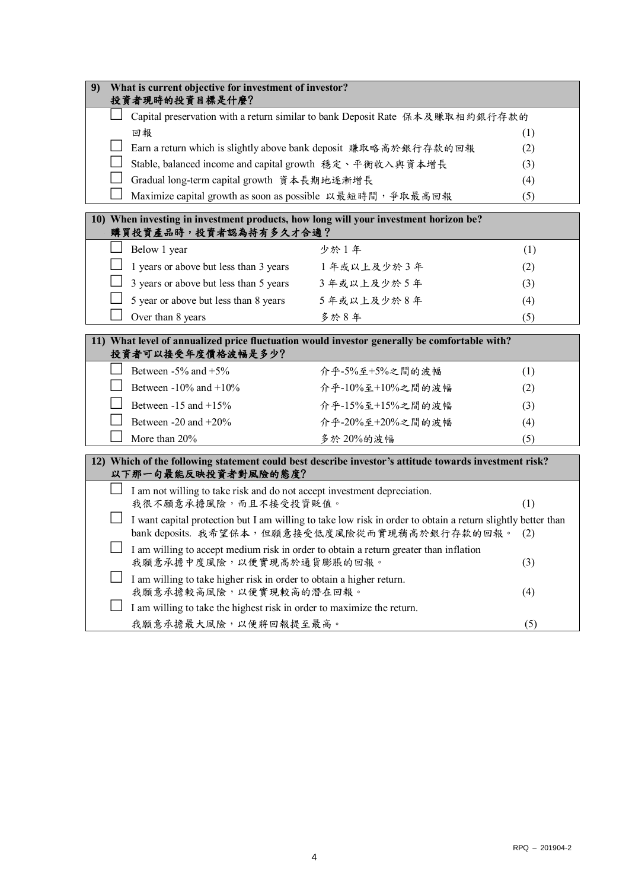| 9)                                                                                                                           | What is current objective for investment of investor?<br>投資者現時的投資目標是什麼?                                                                                               |                                                                                                                          |                  |     |
|------------------------------------------------------------------------------------------------------------------------------|-----------------------------------------------------------------------------------------------------------------------------------------------------------------------|--------------------------------------------------------------------------------------------------------------------------|------------------|-----|
|                                                                                                                              |                                                                                                                                                                       | Capital preservation with a return similar to bank Deposit Rate 保本及賺取相約銀行存款的                                             |                  |     |
|                                                                                                                              |                                                                                                                                                                       | 回報<br>(1)                                                                                                                |                  |     |
|                                                                                                                              |                                                                                                                                                                       | Earn a return which is slightly above bank deposit 賺取略高於銀行存款的回報<br>(2)                                                   |                  |     |
|                                                                                                                              |                                                                                                                                                                       | Stable, balanced income and capital growth 穩定、平衡收入與資本增長<br>(3)                                                           |                  |     |
|                                                                                                                              |                                                                                                                                                                       | Gradual long-term capital growth 資本長期地逐漸增長                                                                               |                  | (4) |
|                                                                                                                              |                                                                                                                                                                       | Maximize capital growth as soon as possible 以最短時間, 爭取最高回報                                                                |                  | (5) |
| 10) When investing in investment products, how long will your investment horizon be?<br>購買投資產品時,投資者認為持有多久才合適?                |                                                                                                                                                                       |                                                                                                                          |                  |     |
|                                                                                                                              |                                                                                                                                                                       | Below 1 year                                                                                                             | 少於1年             | (1) |
|                                                                                                                              |                                                                                                                                                                       | 1 years or above but less than 3 years                                                                                   | 1年或以上及少於3年       | (2) |
|                                                                                                                              |                                                                                                                                                                       | 3 years or above but less than 5 years                                                                                   | 3年或以上及少於5年       | (3) |
|                                                                                                                              |                                                                                                                                                                       | 5 year or above but less than 8 years                                                                                    | 5年或以上及少於8年       | (4) |
|                                                                                                                              |                                                                                                                                                                       | Over than 8 years                                                                                                        | 多於8年             | (5) |
| 11) What level of annualized price fluctuation would investor generally be comfortable with?<br>投資者可以接受年度價格波幅是多少?            |                                                                                                                                                                       |                                                                                                                          |                  |     |
|                                                                                                                              |                                                                                                                                                                       | Between $-5\%$ and $+5\%$                                                                                                | 介乎-5%至+5%之間的波幅   | (1) |
|                                                                                                                              |                                                                                                                                                                       | Between -10% and +10%                                                                                                    | 介乎-10%至+10%之間的波幅 | (2) |
|                                                                                                                              |                                                                                                                                                                       | Between $-15$ and $+15\%$                                                                                                | 介乎-15%至+15%之間的波幅 | (3) |
|                                                                                                                              |                                                                                                                                                                       | Between $-20$ and $+20\%$                                                                                                | 介乎-20%至+20%之間的波幅 | (4) |
|                                                                                                                              |                                                                                                                                                                       | More than 20%                                                                                                            | 多於20%的波幅         | (5) |
| 12) Which of the following statement could best describe investor's attitude towards investment risk?<br>以下那一句最能反映投資者對風險的態度? |                                                                                                                                                                       |                                                                                                                          |                  |     |
|                                                                                                                              |                                                                                                                                                                       | I am not willing to take risk and do not accept investment depreciation.<br>我很不願意承擔風險,而且不接受投資貶值。                         |                  | (1) |
|                                                                                                                              | I want capital protection but I am willing to take low risk in order to obtain a return slightly better than<br>bank deposits. 我希望保本, 但願意接受低度風險從而實現稍高於銀行存款的回報。<br>(2) |                                                                                                                          |                  |     |
|                                                                                                                              |                                                                                                                                                                       | I am willing to accept medium risk in order to obtain a return greater than inflation<br>我願意承擔中度風險,以便實現高於通貨膨脹的回報。<br>(3) |                  |     |
|                                                                                                                              |                                                                                                                                                                       | I am willing to take higher risk in order to obtain a higher return.<br>我願意承擔較高風險,以便實現較高的潛在回報。                           |                  | (4) |
|                                                                                                                              |                                                                                                                                                                       | I am willing to take the highest risk in order to maximize the return.                                                   |                  |     |
|                                                                                                                              |                                                                                                                                                                       | 我願意承擔最大風險,以便將回報提至最高。                                                                                                     |                  | (5) |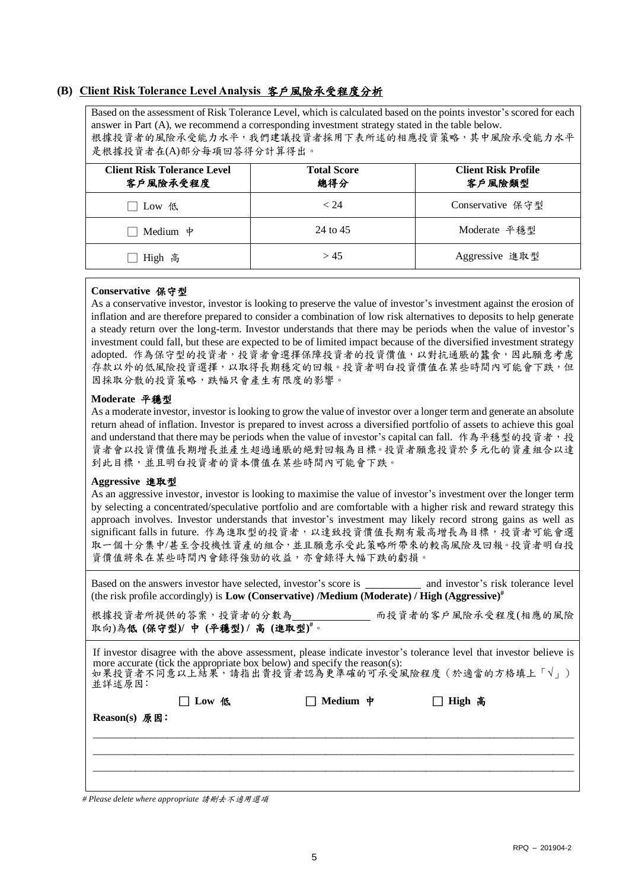# **(B) Client Risk Tolerance Level Analysis** 客戶風險承受程度分析

Based on the assessment of Risk Tolerance Level, which is calculated based on the points investor's scored for each answer in Part (A), we recommend a corresponding investment strategy stated in the table below. 根據投資者的風險承受能力水平,我們建議投資者採用下表所述的相應投資策略,其中風險承受能力水平 是根據投資者在(A)部分每項回答得分計算得出。

| Client Risk Tolerance Level<br>客戶風險承受程度 | <b>Total Score</b><br>總得分 | <b>Client Risk Profile</b><br>客戶風險類型 |
|-----------------------------------------|---------------------------|--------------------------------------|
| Low 低                                   | < 24                      | Conservative 保守型                     |
| Medium $\psi$                           | 24 to 45                  | Moderate 平穩型                         |
| High 高                                  | > 45                      | Aggressive 進取型                       |

#### **Conservative** 保守型

As a conservative investor, investor is looking to preserve the value of investor's investment against the erosion of inflation and are therefore prepared to consider a combination of low risk alternatives to deposits to help generate a steady return over the long-term. Investor understands that there may be periods when the value of investor's investment could fall, but these are expected to be of limited impact because of the diversified investment strategy adopted. 作為保守型的投資者,投資者會選擇保障投資者的投資價值,以對抗通脹的蠶食,因此願意考慮 存款以外的低風險投資選擇,以取得長期穩定的回報。投資者明白投資價值在某些時間內可能會下跌,但 因採取分散的投資策略,跌幅只會產生有限度的影響。

# **Moderate** 平穩型

As a moderate investor, investor islooking to grow the value of investor over a longer term and generate an absolute return ahead of inflation. Investor is prepared to invest across a diversified portfolio of assets to achieve this goal and understand that there may be periods when the value of investor's capital can fall. 作為平穩型的投資者,投 資者會以投資價值長期增長並產生超過通脹的絕對回報為目標。投資者願意投資於多元化的資產組合以達 到此目標,並且明白投資者的資本價值在某些時間內可能會下跌。

# **Aggressive** 進取型

As an aggressive investor, investor is looking to maximise the value of investor's investment over the longer term by selecting a concentrated/speculative portfolio and are comfortable with a higher risk and reward strategy this approach involves. Investor understands that investor's investment may likely record strong gains as well as significant falls in future. 作為進取型的投資者,以達致投資價值長期有最高增長為目標,投資者可能會選 取一個十分集中/甚至含投機性資產的組合,並且願意承受此策略所帶來的較高風險及回報。投資者明白投 資價值將來在某些時間內會錄得強勁的收益,亦會錄得大幅下跌的虧損。

Based on the answers investor have selected, investor's score is and investor's risk tolerance level (the risk profile accordingly) is **Low (Conservative) /Medium (Moderate) / High (Aggressive)#**

根據投資者所提供的答案,投資者的分數為 而投資者的客戶風險承受程度(相應的風險 取向)為低 **(**保守型**)/** 中 **(**平穩型**) /** 高 **(**進取型**) #**。

If investor disagree with the above assessment, please indicate investor's tolerance level that investor believe is more accurate (tick the appropriate box below) and specify the reason(s): 如果投資者不同意以上結果,請指出貴投資者認為更準確的可承受風險程度(於適當的方格填上「√」) 並詳述原因﹕

| Reason(s) 原因: | $\Box$ Low 低 | $\Box$ Medium $\dot{\mathbf{\tau}}$ | □ High 高 |
|---------------|--------------|-------------------------------------|----------|
|               |              |                                     |          |
|               |              |                                     |          |

*# Please delete where appropriate* 請刪去不適用選項